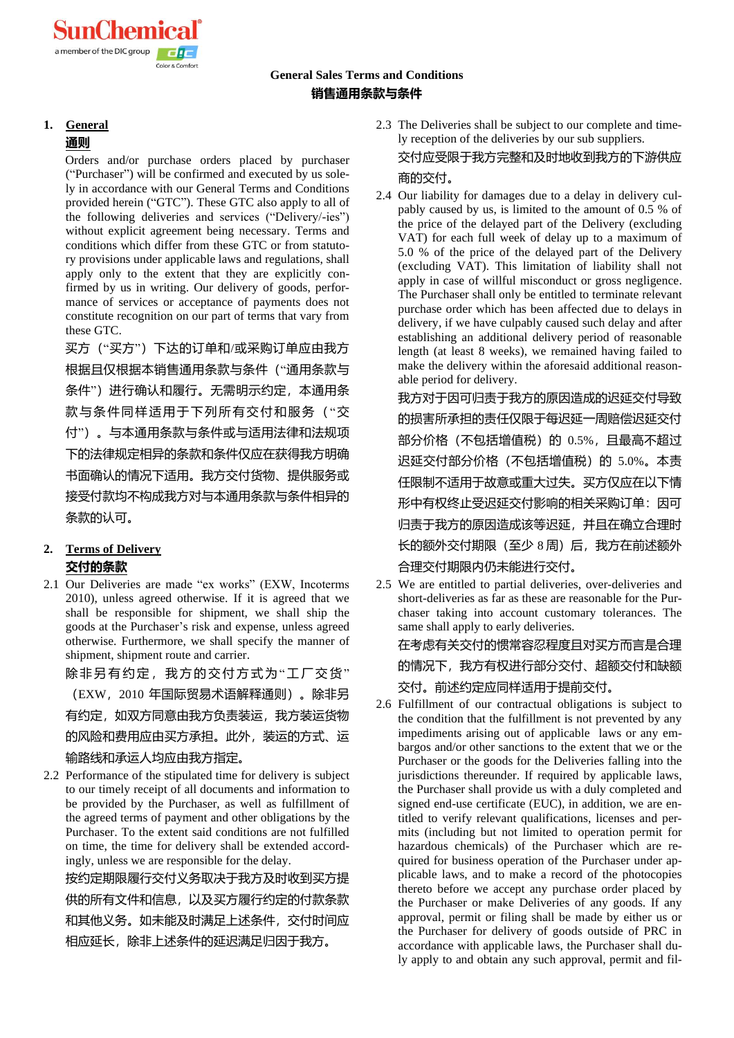### **General Sales Terms and Conditions 销售通用条款与条件**

#### **1. General**

#### **通则**

Orders and/or purchase orders placed by purchaser ("Purchaser") will be confirmed and executed by us solely in accordance with our General Terms and Conditions provided herein ("GTC"). These GTC also apply to all of the following deliveries and services ("Delivery/-ies") without explicit agreement being necessary. Terms and conditions which differ from these GTC or from statutory provisions under applicable laws and regulations, shall apply only to the extent that they are explicitly confirmed by us in writing. Our delivery of goods, performance of services or acceptance of payments does not constitute recognition on our part of terms that vary from these GTC.

买方("买方")下达的订单和/或采购订单应由我方 根据且仅根据本销售通用条款与条件("通用条款与 条件")进行确认和履行。无需明示约定,本通用条 款与条件同样适用于下列所有交付和服务("交 付")。与本通用条款与条件或与适用法律和法规项 下的法律规定相异的条款和条件仅应在获得我方明确 书面确认的情况下适用。我方交付货物、提供服务或 接受付款均不构成我方对与本通用条款与条件相异的 条款的认可。

#### **2. Terms of Delivery 交付的条款**

2.1 Our Deliveries are made "ex works" (EXW, Incoterms 2010), unless agreed otherwise. If it is agreed that we shall be responsible for shipment, we shall ship the goods at the Purchaser's risk and expense, unless agreed otherwise. Furthermore, we shall specify the manner of shipment, shipment route and carrier.

除非另有约定,我方的交付方式为"工厂交货" (EXW,2010 年国际贸易术语解释通则)。除非另 有约定,如双方同意由我方负责装运,我方装运货物 的风险和费用应由买方承担。此外,装运的方式、运 输路线和承运人均应由我方指定。

2.2 Performance of the stipulated time for delivery is subject to our timely receipt of all documents and information to be provided by the Purchaser, as well as fulfillment of the agreed terms of payment and other obligations by the Purchaser. To the extent said conditions are not fulfilled on time, the time for delivery shall be extended accordingly, unless we are responsible for the delay.

按约定期限履行交付义务取决于我方及时收到买方提 供的所有文件和信息,以及买方履行约定的付款条款 和其他义务。如未能及时满足上述条件,交付时间应 相应延长,除非上述条件的延迟满足归因于我方。

- 2.3 The Deliveries shall be subject to our complete and timely reception of the deliveries by our sub suppliers. 交付应受限于我方完整和及时地收到我方的下游供应 商的交付。
- 2.4 Our liability for damages due to a delay in delivery culpably caused by us, is limited to the amount of 0.5 % of the price of the delayed part of the Delivery (excluding VAT) for each full week of delay up to a maximum of 5.0 % of the price of the delayed part of the Delivery (excluding VAT). This limitation of liability shall not apply in case of willful misconduct or gross negligence. The Purchaser shall only be entitled to terminate relevant purchase order which has been affected due to delays in delivery, if we have culpably caused such delay and after establishing an additional delivery period of reasonable length (at least 8 weeks), we remained having failed to make the delivery within the aforesaid additional reasonable period for delivery.

我方对于因可归责于我方的原因造成的迟延交付导致 的损害所承担的责任仅限于每迟延一周赔偿迟延交付 部分价格(不包括增值税)的 0.5%,且最高不超过 迟延交付部分价格(不包括增值税)的 5.0%。本责 任限制不适用于故意或重大过失。买方仅应在以下情 形中有权终止受迟延交付影响的相关采购订单:因可 归责于我方的原因造成该等迟延,并且在确立合理时 长的额外交付期限(至少 8 周)后, 我方在前述额外 合理交付期限内仍未能进行交付。

2.5 We are entitled to partial deliveries, over-deliveries and short-deliveries as far as these are reasonable for the Purchaser taking into account customary tolerances. The same shall apply to early deliveries. 在考虑有关交付的惯常容忍程度且对买方而言是合理 的情况下,我方有权进行部分交付、超额交付和缺额

交付。前述约定应同样适用于提前交付。

2.6 Fulfillment of our contractual obligations is subject to the condition that the fulfillment is not prevented by any impediments arising out of applicable laws or any embargos and/or other sanctions to the extent that we or the Purchaser or the goods for the Deliveries falling into the jurisdictions thereunder. If required by applicable laws, the Purchaser shall provide us with a duly completed and signed end-use certificate (EUC), in addition, we are entitled to verify relevant qualifications, licenses and permits (including but not limited to operation permit for hazardous chemicals) of the Purchaser which are required for business operation of the Purchaser under applicable laws, and to make a record of the photocopies thereto before we accept any purchase order placed by the Purchaser or make Deliveries of any goods. If any approval, permit or filing shall be made by either us or the Purchaser for delivery of goods outside of PRC in accordance with applicable laws, the Purchaser shall duly apply to and obtain any such approval, permit and fil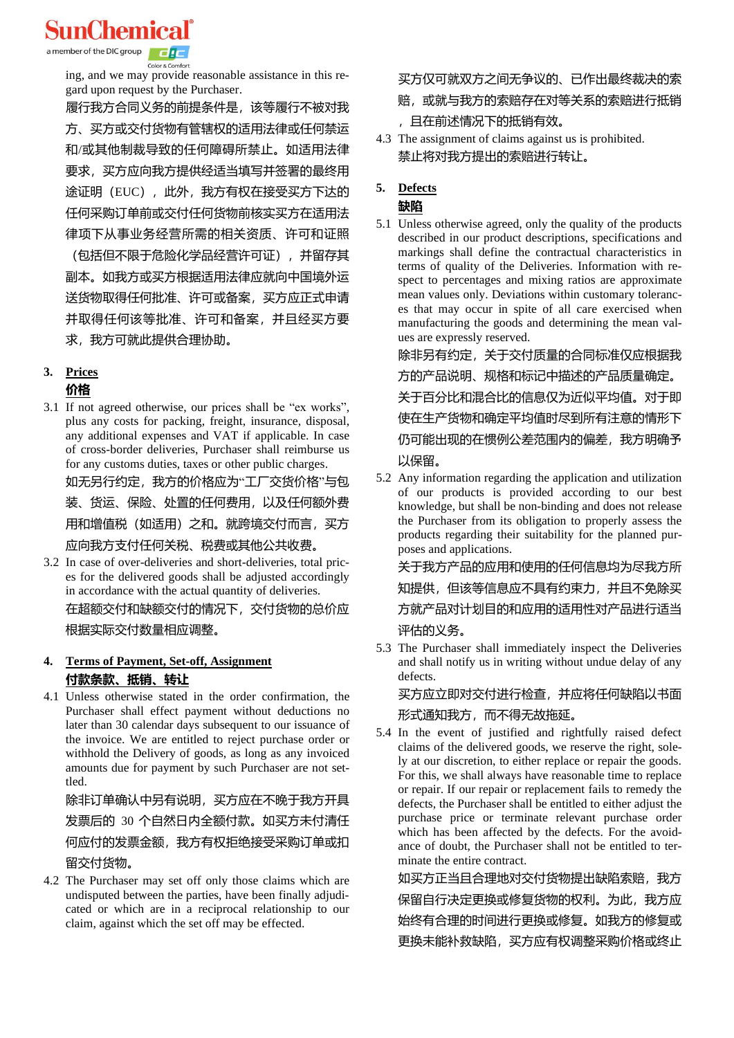**SunChemical** 

a member of the DIC group

Color & Comfort

ing, and we may provide reasonable assistance in this regard upon request by the Purchaser.

履行我方合同义务的前提条件是,该等履行不被对我 方、买方或交付货物有管辖权的适用法律或任何禁运 和/或其他制裁导致的任何障碍所禁止。如适用法律 要求,买方应向我方提供经适当填写并签署的最终用 途证明 (EUC), 此外, 我方有权在接受买方下达的 任何采购订单前或交付任何货物前核实买方在适用法 律项下从事业务经营所需的相关资质、许可和证照

(包括但不限于危险化学品经营许可证),并留存其 副本。如我方或买方根据适用法律应就向中国境外运 送货物取得任何批准、许可或备案,买方应正式申请 并取得任何该等批准、许可和备案,并且经买方要 求,我方可就此提供合理协助。

# **3. Prices**

#### **价格**

3.1 If not agreed otherwise, our prices shall be "ex works", plus any costs for packing, freight, insurance, disposal, any additional expenses and VAT if applicable. In case of cross-border deliveries, Purchaser shall reimburse us for any customs duties, taxes or other public charges.

如无另行约定,我方的价格应为"工厂交货价格"与包 装、货运、保险、处置的任何费用,以及任何额外费 用和增值税(如适用)之和。就跨境交付而言,买方 应向我方支付任何关税、税费或其他公共收费。

3.2 In case of over-deliveries and short-deliveries, total prices for the delivered goods shall be adjusted accordingly in accordance with the actual quantity of deliveries. 在超额交付和缺额交付的情况下,交付货物的总价应 根据实际交付数量相应调整。

#### **4. Terms of Payment, Set-off, Assignment 付款条款、抵销、转让**

4.1 Unless otherwise stated in the order confirmation, the Purchaser shall effect payment without deductions no later than 30 calendar days subsequent to our issuance of the invoice. We are entitled to reject purchase order or withhold the Delivery of goods, as long as any invoiced amounts due for payment by such Purchaser are not settled.

除非订单确认中另有说明,买方应在不晚于我方开具 发票后的 30 个自然日内全额付款。如买方未付清任 何应付的发票金额,我方有权拒绝接受采购订单或扣 留交付货物。

4.2 The Purchaser may set off only those claims which are undisputed between the parties, have been finally adjudicated or which are in a reciprocal relationship to our claim, against which the set off may be effected.

买方仅可就双方之间无争议的、已作出最终裁决的索

#### 赔,或就与我方的索赔存在对等关系的索赔进行抵销

- ,且在前述情况下的抵销有效。
- 4.3 The assignment of claims against us is prohibited. 禁止将对我方提出的索赔进行转让。

# **5. Defects**

### **缺陷**

5.1 Unless otherwise agreed, only the quality of the products described in our product descriptions, specifications and markings shall define the contractual characteristics in terms of quality of the Deliveries. Information with respect to percentages and mixing ratios are approximate mean values only. Deviations within customary tolerances that may occur in spite of all care exercised when manufacturing the goods and determining the mean values are expressly reserved.

除非另有约定,关于交付质量的合同标准仅应根据我 方的产品说明、规格和标记中描述的产品质量确定。 关于百分比和混合比的信息仅为近似平均值。对于即 使在生产货物和确定平均值时尽到所有注意的情形下 仍可能出现的在惯例公差范围内的偏差,我方明确予 以保留。

5.2 Any information regarding the application and utilization of our products is provided according to our best knowledge, but shall be non-binding and does not release the Purchaser from its obligation to properly assess the products regarding their suitability for the planned purposes and applications.

关于我方产品的应用和使用的任何信息均为尽我方所 知提供,但该等信息应不具有约束力,并且不免除买 方就产品对计划目的和应用的适用性对产品进行适当 评估的义务。

5.3 The Purchaser shall immediately inspect the Deliveries and shall notify us in writing without undue delay of any defects.

买方应立即对交付进行检查,并应将任何缺陷以书面 形式通知我方,而不得无故拖延。

5.4 In the event of justified and rightfully raised defect claims of the delivered goods, we reserve the right, solely at our discretion, to either replace or repair the goods. For this, we shall always have reasonable time to replace or repair. If our repair or replacement fails to remedy the defects, the Purchaser shall be entitled to either adjust the purchase price or terminate relevant purchase order which has been affected by the defects. For the avoidance of doubt, the Purchaser shall not be entitled to terminate the entire contract.

如买方正当且合理地对交付货物提出缺陷索赔,我方 保留自行决定更换或修复货物的权利。为此,我方应 始终有合理的时间进行更换或修复。如我方的修复或 更换未能补救缺陷,买方应有权调整采购价格或终止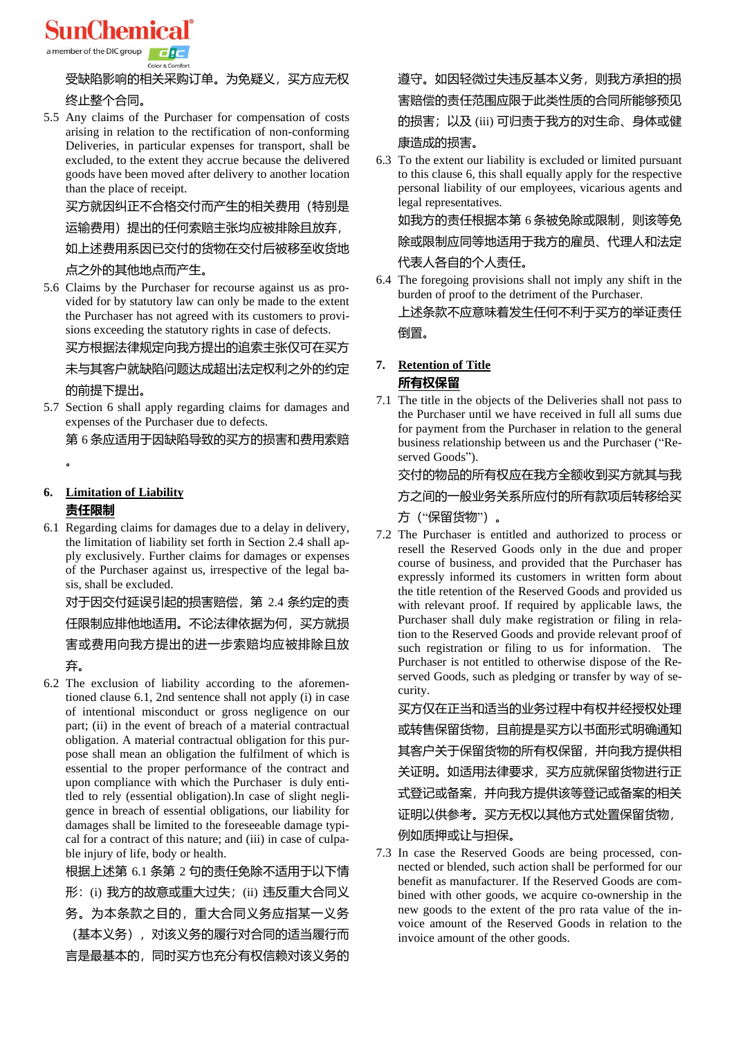

a member of the DIC group

#### Color & Comfort

# 受缺陷影响的相关采购订单。为免疑义,买方应无权

## 终止整个合同。

5.5 Any claims of the Purchaser for compensation of costs arising in relation to the rectification of non-conforming Deliveries, in particular expenses for transport, shall be excluded, to the extent they accrue because the delivered goods have been moved after delivery to another location than the place of receipt.

买方就因纠正不合格交付而产生的相关费用(特别是

### 运输费用)提出的任何索赔主张均应被排除且放弃,

如上述费用系因已交付的货物在交付后被移至收货地

## 点之外的其他地点而产生。

5.6 Claims by the Purchaser for recourse against us as provided for by statutory law can only be made to the extent the Purchaser has not agreed with its customers to provisions exceeding the statutory rights in case of defects.

买方根据法律规定向我方提出的追索主张仅可在买方

未与其客户就缺陷问题达成超出法定权利之外的约定

## 的前提下提出。

5.7 Section 6 shall apply regarding claims for damages and expenses of the Purchaser due to defects.

第 6 条应适用于因缺陷导致的买方的损害和费用索赔

。

## **6. Limitation of Liability**

#### **责任限制**

6.1 Regarding claims for damages due to a delay in delivery, the limitation of liability set forth in Section 2.4 shall apply exclusively. Further claims for damages or expenses of the Purchaser against us, irrespective of the legal basis, shall be excluded.

对于因交付延误引起的损害赔偿,第 2.4 条约定的责 任限制应排他地适用。不论法律依据为何, 买方就损 害或费用向我方提出的进一步索赔均应被排除且放 弃。

6.2 The exclusion of liability according to the aforementioned clause 6.1, 2nd sentence shall not apply (i) in case of intentional misconduct or gross negligence on our part; (ii) in the event of breach of a material contractual obligation. A material contractual obligation for this purpose shall mean an obligation the fulfilment of which is essential to the proper performance of the contract and upon compliance with which the Purchaser is duly entitled to rely (essential obligation).In case of slight negligence in breach of essential obligations, our liability for damages shall be limited to the foreseeable damage typical for a contract of this nature; and (iii) in case of culpable injury of life, body or health.

根据上述第 6.1 条第 2 句的责任免除不适用于以下情 形: (i) 我方的故意或重大过失; (ii) 违反重大合同义 务。为本条款之目的,重大合同义务应指某一义务 (基本义务),对该义务的履行对合同的适当履行而 言是最基本的,同时买方也充分有权信赖对该义务的

## 遵守。如因轻微过失违反基本义务,则我方承担的损 害赔偿的责任范围应限于此类性质的合同所能够预见 的损害;以及 (iii) 可归责于我方的对生命、身体或健 康造成的损害。

6.3 To the extent our liability is excluded or limited pursuant to this clause 6, this shall equally apply for the respective personal liability of our employees, vicarious agents and legal representatives.

如我方的责任根据本第 6 条被免除或限制,则该等免 除或限制应同等地适用于我方的雇员、代理人和法定 代表人各自的个人责任。

6.4 The foregoing provisions shall not imply any shift in the burden of proof to the detriment of the Purchaser. 上述条款不应意味着发生任何不利于买方的举证责任 倒置。

### **7. Retention of Title 所有权保留**

7.1 The title in the objects of the Deliveries shall not pass to the Purchaser until we have received in full all sums due for payment from the Purchaser in relation to the general business relationship between us and the Purchaser ("Reserved Goods").

## 交付的物品的所有权应在我方全额收到买方就其与我

#### 方之间的一般业务关系所应付的所有款项后转移给买

方("保留货物")。

7.2 The Purchaser is entitled and authorized to process or resell the Reserved Goods only in the due and proper course of business, and provided that the Purchaser has expressly informed its customers in written form about the title retention of the Reserved Goods and provided us with relevant proof. If required by applicable laws, the Purchaser shall duly make registration or filing in relation to the Reserved Goods and provide relevant proof of such registration or filing to us for information. The Purchaser is not entitled to otherwise dispose of the Reserved Goods, such as pledging or transfer by way of security.

买方仅在正当和适当的业务过程中有权并经授权处理 或转售保留货物,且前提是买方以书面形式明确通知 其客户关于保留货物的所有权保留,并向我方提供相 关证明。如适用法律要求,买方应就保留货物进行正 式登记或备案,并向我方提供该等登记或备案的相关 证明以供参考。买方无权以其他方式处置保留货物, 例如质押或让与担保。

7.3 In case the Reserved Goods are being processed, connected or blended, such action shall be performed for our benefit as manufacturer. If the Reserved Goods are combined with other goods, we acquire co-ownership in the new goods to the extent of the pro rata value of the invoice amount of the Reserved Goods in relation to the invoice amount of the other goods.